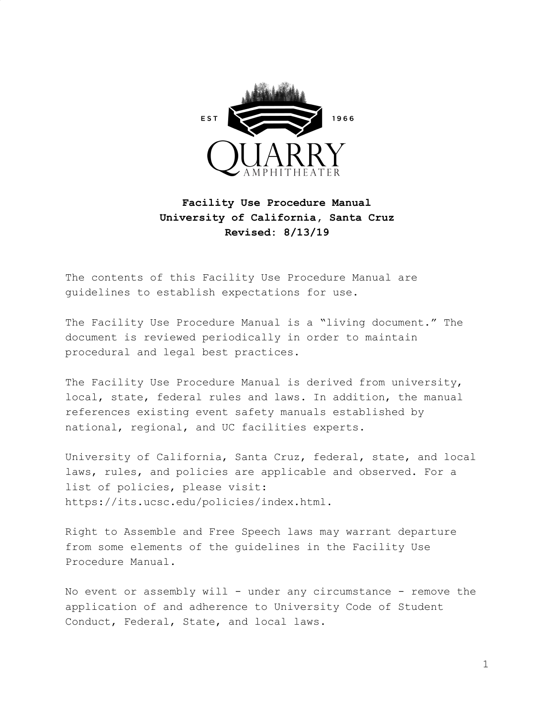

# **Facility Use Procedure Manual University of California, Santa Cruz Revised: 8/13/19**

The contents of this Facility Use Procedure Manual are guidelines to establish expectations for use.

The Facility Use Procedure Manual is a "living document." The document is reviewed periodically in order to maintain procedural and legal best practices.

The Facility Use Procedure Manual is derived from university, local, state, federal rules and laws. In addition, the manual references existing event safety manuals established by national, regional, and UC facilities experts.

University of California, Santa Cruz, federal, state, and local laws, rules, and policies are applicable and observed. For a list of policies, please visit: https://its.ucsc.edu/policies/index.html.

Right to Assemble and Free Speech laws may warrant departure from some elements of the guidelines in the Facility Use Procedure Manual.

No event or assembly will - under any circumstance - remove the application of and adherence to University Code of Student Conduct, Federal, State, and local laws.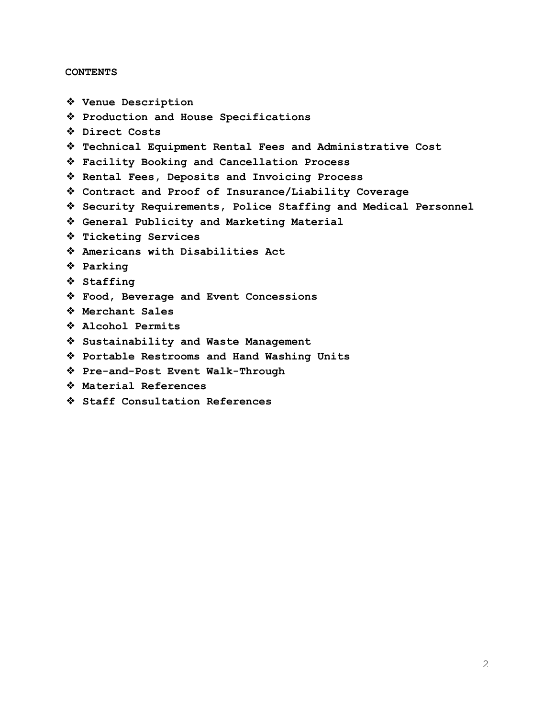### **CONTENTS**

❖ **Venue Description** ❖ **Production and House Specifications** ❖ **Direct Costs** ❖ **Technical Equipment Rental Fees and Administrative Cost** ❖ **Facility Booking and Cancellation Process** ❖ **Rental Fees, Deposits and Invoicing Process** ❖ **Contract and Proof of Insurance/Liability Coverage** ❖ **Security Requirements, Police Staffing and Medical Personnel** ❖ **General Publicity and Marketing Material** ❖ **Ticketing Services** ❖ **Americans with Disabilities Act** ❖ **Parking** ❖ **Staffing** ❖ **Food, Beverage and Event Concessions** ❖ **Merchant Sales** ❖ **Alcohol Permits** ❖ **Sustainability and Waste Management** ❖ **Portable Restrooms and Hand Washing Units** ❖ **Pre-and-Post Event Walk-Through** ❖ **Material References**

❖ **Staff Consultation References**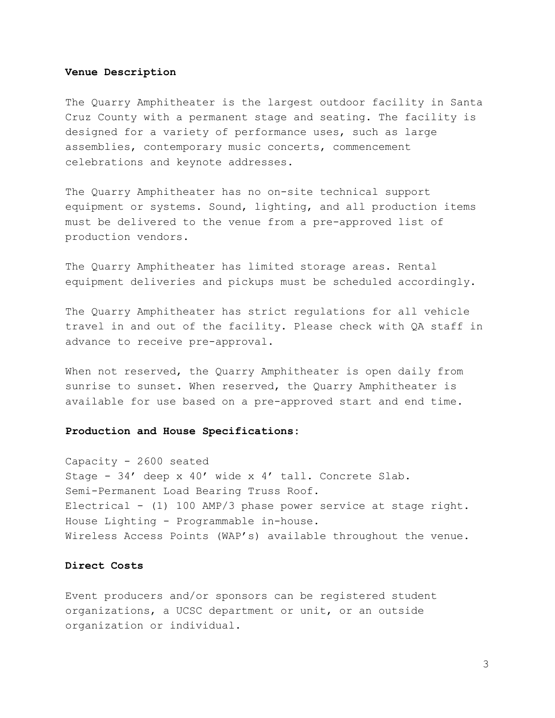#### **Venue Description**

The Quarry Amphitheater is the largest outdoor facility in Santa Cruz County with a permanent stage and seating. The facility is designed for a variety of performance uses, such as large assemblies, contemporary music concerts, commencement celebrations and keynote addresses.

The Quarry Amphitheater has no on-site technical support equipment or systems. Sound, lighting, and all production items must be delivered to the venue from a pre-approved list of production vendors.

The Quarry Amphitheater has limited storage areas. Rental equipment deliveries and pickups must be scheduled accordingly.

The Quarry Amphitheater has strict regulations for all vehicle travel in and out of the facility. Please check with QA staff in advance to receive pre-approval.

When not reserved, the Quarry Amphitheater is open daily from sunrise to sunset. When reserved, the Quarry Amphitheater is available for use based on a pre-approved start and end time.

### **Production and House Specifications:**

Capacity - 2600 seated Stage - 34' deep x 40' wide x 4' tall. Concrete Slab. Semi-Permanent Load Bearing Truss Roof. Electrical - (1) 100 AMP/3 phase power service at stage right. House Lighting - Programmable in-house. Wireless Access Points (WAP's) available throughout the venue.

# **Direct Costs**

Event producers and/or sponsors can be registered student organizations, a UCSC department or unit, or an outside organization or individual.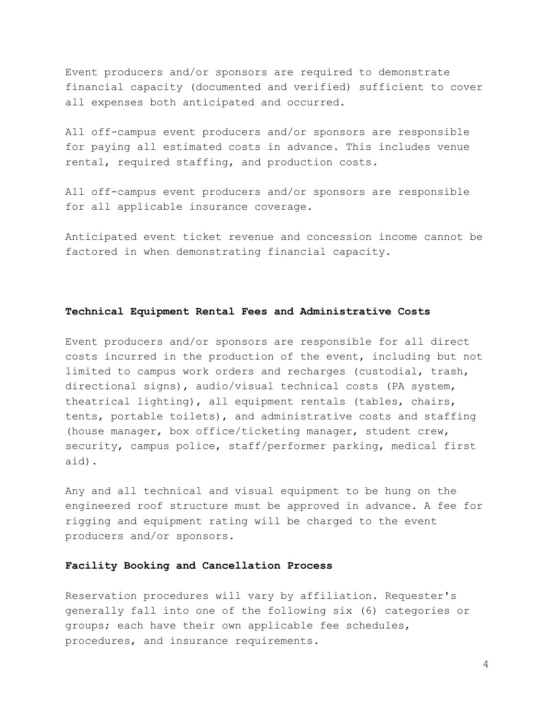Event producers and/or sponsors are required to demonstrate financial capacity (documented and verified) sufficient to cover all expenses both anticipated and occurred.

All off-campus event producers and/or sponsors are responsible for paying all estimated costs in advance. This includes venue rental, required staffing, and production costs.

All off-campus event producers and/or sponsors are responsible for all applicable insurance coverage.

Anticipated event ticket revenue and concession income cannot be factored in when demonstrating financial capacity.

### **Technical Equipment Rental Fees and Administrative Costs**

Event producers and/or sponsors are responsible for all direct costs incurred in the production of the event, including but not limited to campus work orders and recharges (custodial, trash, directional signs), audio/visual technical costs (PA system, theatrical lighting), all equipment rentals (tables, chairs, tents, portable toilets), and administrative costs and staffing (house manager, box office/ticketing manager, student crew, security, campus police, staff/performer parking, medical first aid).

Any and all technical and visual equipment to be hung on the engineered roof structure must be approved in advance. A fee for rigging and equipment rating will be charged to the event producers and/or sponsors.

### **Facility Booking and Cancellation Process**

Reservation procedures will vary by affiliation. Requester's generally fall into one of the following six (6) categories or groups; each have their own applicable fee schedules, procedures, and insurance requirements.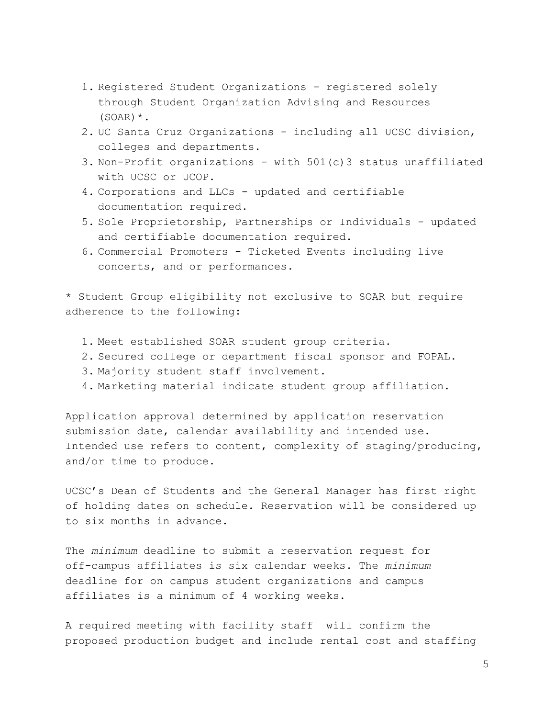- 1. Registered Student Organizations registered solely through Student Organization Advising and Resources  $(SOAR)$ <sup>\*</sup>.
- 2. UC Santa Cruz Organizations including all UCSC division, colleges and departments.
- 3. Non-Profit organizations with 501(c)3 status unaffiliated with UCSC or UCOP.
- 4. Corporations and LLCs updated and certifiable documentation required.
- 5. Sole Proprietorship, Partnerships or Individuals updated and certifiable documentation required.
- 6. Commercial Promoters Ticketed Events including live concerts, and or performances.

\* Student Group eligibility not exclusive to SOAR but require adherence to the following:

- 1. Meet established SOAR student group criteria.
- 2. Secured college or department fiscal sponsor and FOPAL.
- 3. Majority student staff involvement.
- 4. Marketing material indicate student group affiliation.

Application approval determined by application reservation submission date, calendar availability and intended use. Intended use refers to content, complexity of staging/producing, and/or time to produce.

UCSC's Dean of Students and the General Manager has first right of holding dates on schedule. Reservation will be considered up to six months in advance.

The *minimum* deadline to submit a reservation request for off-campus affiliates is six calendar weeks. The *minimum* deadline for on campus student organizations and campus affiliates is a minimum of 4 working weeks.

A required meeting with facility staff will confirm the proposed production budget and include rental cost and staffing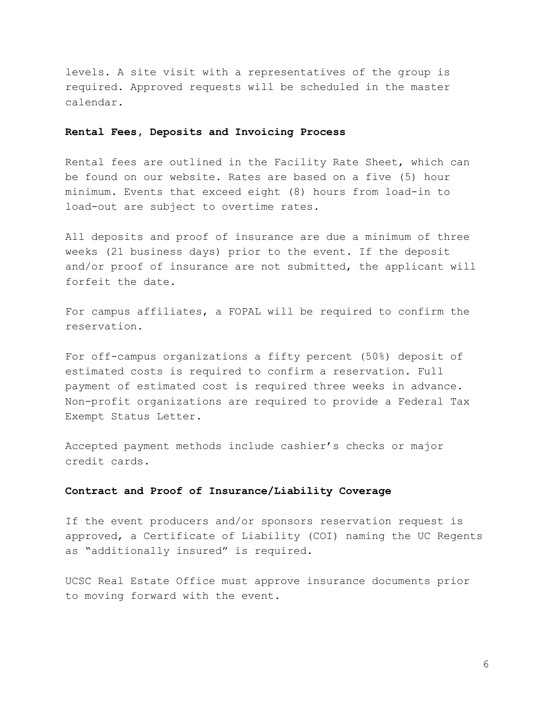levels. A site visit with a representatives of the group is required. Approved requests will be scheduled in the master calendar.

### **Rental Fees, Deposits and Invoicing Process**

Rental fees are outlined in the Facility Rate Sheet, which can be found on our website. Rates are based on a five (5) hour minimum. Events that exceed eight (8) hours from load-in to load-out are subject to overtime rates.

All deposits and proof of insurance are due a minimum of three weeks (21 business days) prior to the event. If the deposit and/or proof of insurance are not submitted, the applicant will forfeit the date.

For campus affiliates, a FOPAL will be required to confirm the reservation.

For off-campus organizations a fifty percent (50%) deposit of estimated costs is required to confirm a reservation. Full payment of estimated cost is required three weeks in advance. Non-profit organizations are required to provide a Federal Tax Exempt Status Letter.

Accepted payment methods include cashier's checks or major credit cards.

### **Contract and Proof of Insurance/Liability Coverage**

If the event producers and/or sponsors reservation request is approved, a Certificate of Liability (COI) naming the UC Regents as "additionally insured" is required.

UCSC Real Estate Office must approve insurance documents prior to moving forward with the event.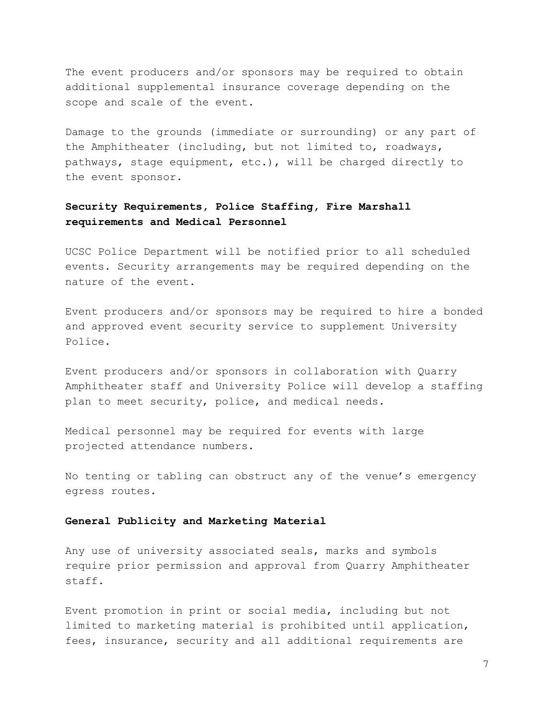The event producers and/or sponsors may be required to obtain additional supplemental insurance coverage depending on the scope and scale of the event.

Damage to the grounds (immediate or surrounding) or any part of the Amphitheater (including, but not limited to, roadways, pathways, stage equipment, etc.), will be charged directly to the event sponsor.

# **Security Requirements, Police Staffing, Fire Marshall requirements and Medical Personnel**

UCSC Police Department will be notified prior to all scheduled events. Security arrangements may be required depending on the nature of the event.

Event producers and/or sponsors may be required to hire a bonded and approved event security service to supplement University Police.

Event producers and/or sponsors in collaboration with Quarry Amphitheater staff and University Police will develop a staffing plan to meet security, police, and medical needs.

Medical personnel may be required for events with large projected attendance numbers.

No tenting or tabling can obstruct any of the venue's emergency egress routes.

### **General Publicity and Marketing Material**

Any use of university associated seals, marks and symbols require prior permission and approval from Quarry Amphitheater staff.

Event promotion in print or social media, including but not limited to marketing material is prohibited until application, fees, insurance, security and all additional requirements are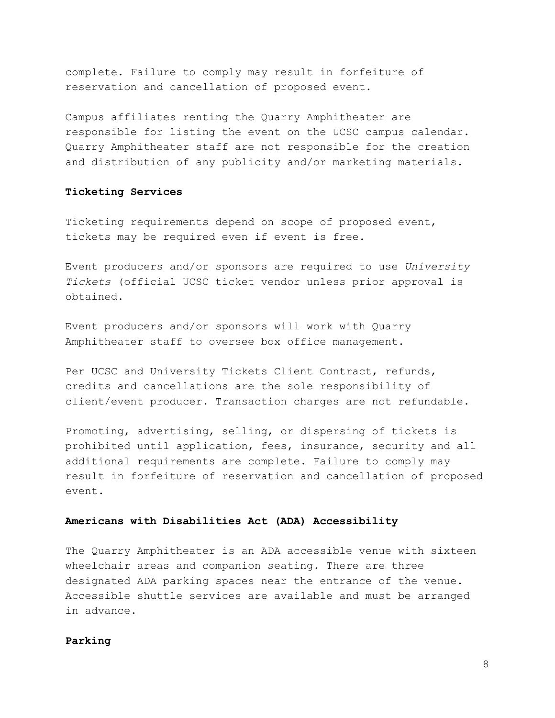complete. Failure to comply may result in forfeiture of reservation and cancellation of proposed event.

Campus affiliates renting the Quarry Amphitheater are responsible for listing the event on the UCSC campus calendar. Quarry Amphitheater staff are not responsible for the creation and distribution of any publicity and/or marketing materials.

# **Ticketing Services**

Ticketing requirements depend on scope of proposed event, tickets may be required even if event is free.

Event producers and/or sponsors are required to use *University Tickets* (official UCSC ticket vendor unless prior approval is obtained.

Event producers and/or sponsors will work with Quarry Amphitheater staff to oversee box office management.

Per UCSC and University Tickets Client Contract, refunds, credits and cancellations are the sole responsibility of client/event producer. Transaction charges are not refundable.

Promoting, advertising, selling, or dispersing of tickets is prohibited until application, fees, insurance, security and all additional requirements are complete. Failure to comply may result in forfeiture of reservation and cancellation of proposed event.

### **Americans with Disabilities Act (ADA) Accessibility**

The Quarry Amphitheater is an ADA accessible venue with sixteen wheelchair areas and companion seating. There are three designated ADA parking spaces near the entrance of the venue. Accessible shuttle services are available and must be arranged in advance.

### **Parking**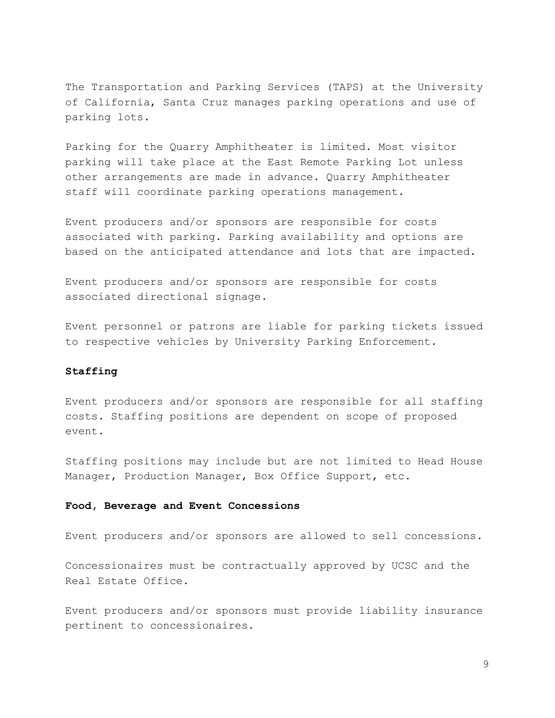The Transportation and Parking Services (TAPS) at the University of California, Santa Cruz manages parking operations and use of parking lots.

Parking for the Quarry Amphitheater is limited. Most visitor parking will take place at the East Remote Parking Lot unless other arrangements are made in advance. Quarry Amphitheater staff will coordinate parking operations management.

Event producers and/or sponsors are responsible for costs associated with parking. Parking availability and options are based on the anticipated attendance and lots that are impacted.

Event producers and/or sponsors are responsible for costs associated directional signage.

Event personnel or patrons are liable for parking tickets issued to respective vehicles by University Parking Enforcement.

## **Staffing**

Event producers and/or sponsors are responsible for all staffing costs. Staffing positions are dependent on scope of proposed event.

Staffing positions may include but are not limited to Head House Manager, Production Manager, Box Office Support, etc.

## **Food, Beverage and Event Concessions**

Event producers and/or sponsors are allowed to sell concessions.

Concessionaires must be contractually approved by UCSC and the Real Estate Office.

Event producers and/or sponsors must provide liability insurance pertinent to concessionaires.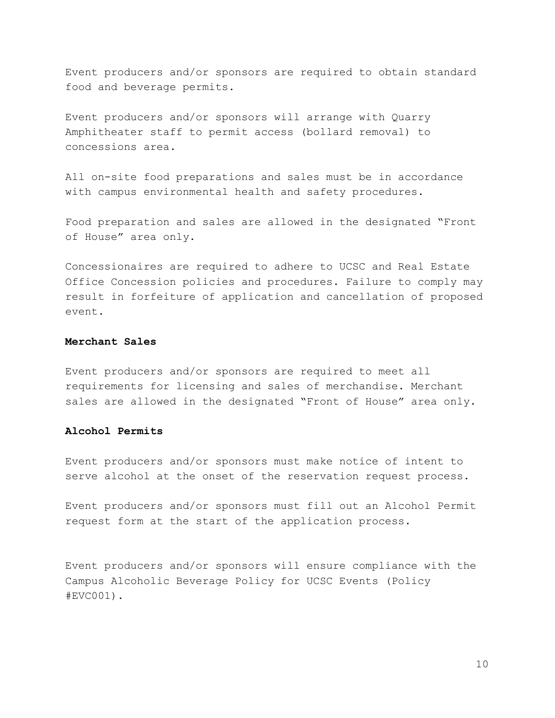Event producers and/or sponsors are required to obtain standard food and beverage permits.

Event producers and/or sponsors will arrange with Quarry Amphitheater staff to permit access (bollard removal) to concessions area.

All on-site food preparations and sales must be in accordance with campus environmental health and safety procedures.

Food preparation and sales are allowed in the designated "Front of House" area only.

Concessionaires are required to adhere to UCSC and Real Estate Office Concession policies and procedures. Failure to comply may result in forfeiture of application and cancellation of proposed event.

# **Merchant Sales**

Event producers and/or sponsors are required to meet all requirements for licensing and sales of merchandise. Merchant sales are allowed in the designated "Front of House" area only.

### **Alcohol Permits**

Event producers and/or sponsors must make notice of intent to serve alcohol at the onset of the reservation request process.

Event producers and/or sponsors must fill out an Alcohol Permit request form at the start of the application process.

Event producers and/or sponsors will ensure compliance with the Campus Alcoholic Beverage Policy for UCSC Events (Policy #EVC001).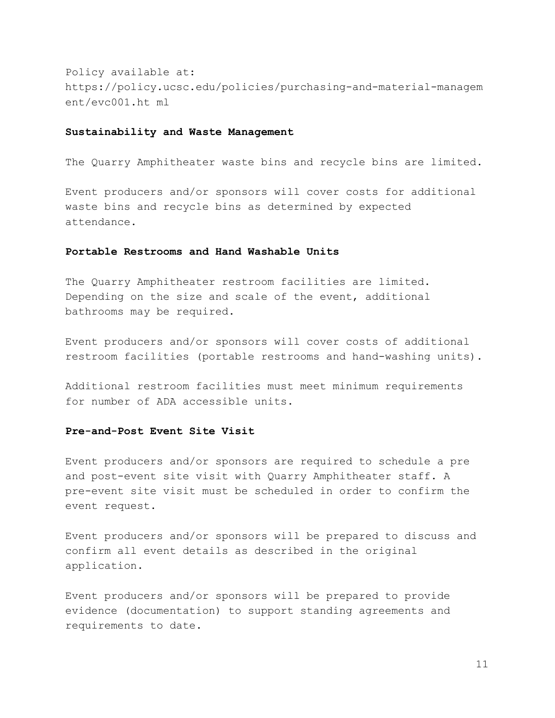Policy available at: https://policy.ucsc.edu/policies/purchasing-and-material-managem ent/evc001.ht ml

### **Sustainability and Waste Management**

The Quarry Amphitheater waste bins and recycle bins are limited.

Event producers and/or sponsors will cover costs for additional waste bins and recycle bins as determined by expected attendance.

### **Portable Restrooms and Hand Washable Units**

The Quarry Amphitheater restroom facilities are limited. Depending on the size and scale of the event, additional bathrooms may be required.

Event producers and/or sponsors will cover costs of additional restroom facilities (portable restrooms and hand-washing units).

Additional restroom facilities must meet minimum requirements for number of ADA accessible units.

### **Pre-and-Post Event Site Visit**

Event producers and/or sponsors are required to schedule a pre and post-event site visit with Quarry Amphitheater staff. A pre-event site visit must be scheduled in order to confirm the event request.

Event producers and/or sponsors will be prepared to discuss and confirm all event details as described in the original application.

Event producers and/or sponsors will be prepared to provide evidence (documentation) to support standing agreements and requirements to date.